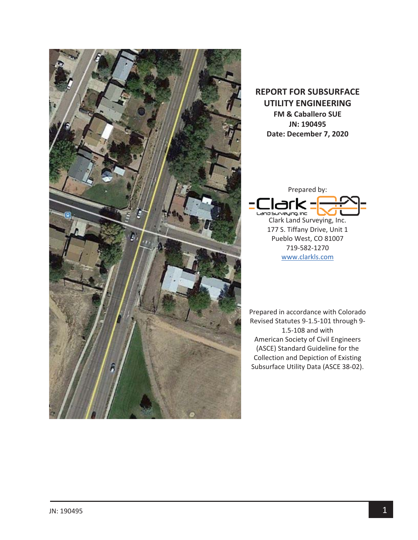

## **REPORT FOR SUBSURFACE UTILITY ENGINEERING FM & Caballero SUE JN: 190495 Date: December 7, 2020**



177 S. Tiffany Drive, Unit 1 Pueblo West, CO 81007 719Ͳ582Ͳ1270 www.clarkls.com

Prepared in accordance with Colorado Revised Statutes 9-1.5-101 through 9-1.5-108 and with American Society of Civil Engineers (ASCE) Standard Guideline for the Collection and Depiction of Existing Subsurface Utility Data (ASCE 38-02).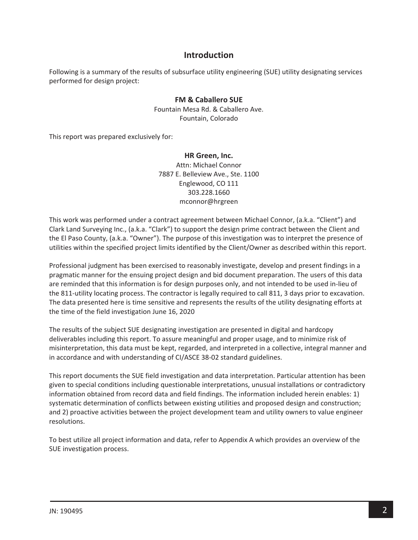### **Introduction**

Following is a summary of the results of subsurface utility engineering (SUE) utility designating services performed for design project:

### **FM & Caballero SUE**

Fountain Mesa Rd. & Caballero Ave. Fountain, Colorado

This report was prepared exclusively for:

#### **HR Green, Inc.**

Attn: Michael Connor 7887 E. Belleview Ave., Ste. 1100 Englewood, CO 111 303.228.1660 mconnor@hrgreen

This work was performed under a contract agreement between Michael Connor, (a.k.a. "Client") and Clark Land Surveying Inc., (a.k.a. "Clark") to support the design prime contract between the Client and the El Paso County, (a.k.a. "Owner"). The purpose of this investigation was to interpret the presence of utilities within the specified project limits identified by the Client/Owner as described within this report.

Professional judgment has been exercised to reasonably investigate, develop and present findings in a pragmatic manner for the ensuing project design and bid document preparation. The users of this data are reminded that this information is for design purposes only, and not intended to be used in-lieu of the 811-utility locating process. The contractor is legally required to call 811, 3 days prior to excavation. The data presented here is time sensitive and represents the results of the utility designating efforts at the time of the field investigation June 16, 2020

The results of the subject SUE designating investigation are presented in digital and hardcopy deliverables including this report. To assure meaningful and proper usage, and to minimize risk of misinterpretation, this data must be kept, regarded, and interpreted in a collective, integral manner and in accordance and with understanding of CI/ASCE 38-02 standard guidelines.

This report documents the SUE field investigation and data interpretation. Particular attention has been given to special conditions including questionable interpretations, unusual installations or contradictory information obtained from record data and field findings. The information included herein enables: 1) systematic determination of conflicts between existing utilities and proposed design and construction; and 2) proactive activities between the project development team and utility owners to value engineer resolutions.

To best utilize all project information and data, refer to Appendix A which provides an overview of the SUE investigation process.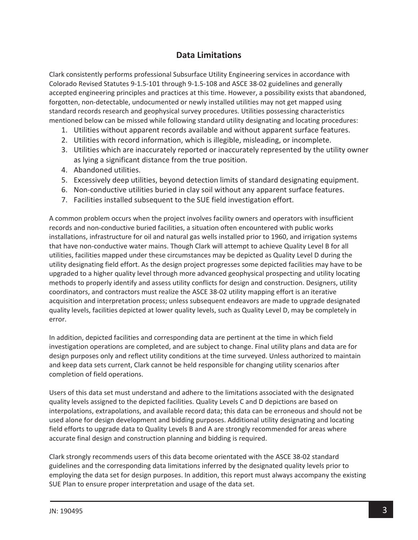## **Data Limitations**

Clark consistently performs professional Subsurface Utility Engineering services in accordance with Colorado Revised Statutes 9-1.5-101 through 9-1.5-108 and ASCE 38-02 guidelines and generally accepted engineering principles and practices at this time. However, a possibility exists that abandoned, forgotten, non-detectable, undocumented or newly installed utilities may not get mapped using standard records research and geophysical survey procedures. Utilities possessing characteristics mentioned below can be missed while following standard utility designating and locating procedures:

- 1. Utilities without apparent records available and without apparent surface features.
- 2. Utilities with record information, which is illegible, misleading, or incomplete.
- 3. Utilities which are inaccurately reported or inaccurately represented by the utility owner as lying a significant distance from the true position.
- 4. Abandoned utilities.
- 5. Excessively deep utilities, beyond detection limits of standard designating equipment.
- 6. Non-conductive utilities buried in clay soil without any apparent surface features.
- 7. Facilities installed subsequent to the SUE field investigation effort.

A common problem occurs when the project involves facility owners and operators with insufficient records and non-conductive buried facilities, a situation often encountered with public works installations, infrastructure for oil and natural gas wells installed prior to 1960, and irrigation systems that have non-conductive water mains. Though Clark will attempt to achieve Quality Level B for all utilities, facilities mapped under these circumstances may be depicted as Quality Level D during the utility designating field effort. As the design project progresses some depicted facilities may have to be upgraded to a higher quality level through more advanced geophysical prospecting and utility locating methods to properly identify and assess utility conflicts for design and construction. Designers, utility coordinators, and contractors must realize the ASCE 38-02 utility mapping effort is an iterative acquisition and interpretation process; unless subsequent endeavors are made to upgrade designated quality levels, facilities depicted at lower quality levels, such as Quality Level D, may be completely in error.

In addition, depicted facilities and corresponding data are pertinent at the time in which field investigation operations are completed, and are subject to change. Final utility plans and data are for design purposes only and reflect utility conditions at the time surveyed. Unless authorized to maintain and keep data sets current, Clark cannot be held responsible for changing utility scenarios after completion of field operations.

Users of this data set must understand and adhere to the limitations associated with the designated quality levels assigned to the depicted facilities. Quality Levels C and D depictions are based on interpolations, extrapolations, and available record data; this data can be erroneous and should not be used alone for design development and bidding purposes. Additional utility designating and locating field efforts to upgrade data to Quality Levels B and A are strongly recommended for areas where accurate final design and construction planning and bidding is required.

Clark strongly recommends users of this data become orientated with the ASCE 38-02 standard guidelines and the corresponding data limitations inferred by the designated quality levels prior to employing the data set for design purposes. In addition, this report must always accompany the existing SUE Plan to ensure proper interpretation and usage of the data set.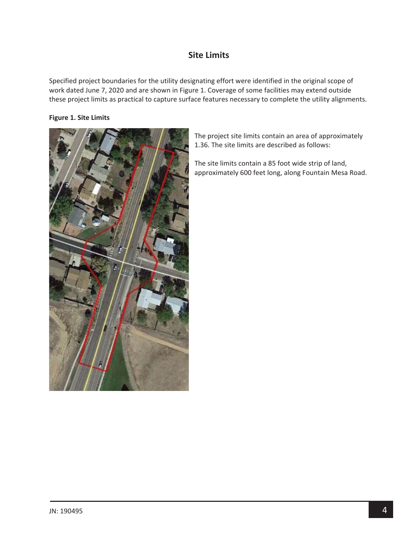## **Site Limits**

Specified project boundaries for the utility designating effort were identified in the original scope of work dated June 7, 2020 and are shown in Figure 1. Coverage of some facilities may extend outside these project limits as practical to capture surface features necessary to complete the utility alignments.

#### **Figure 1. Site Limits**



The project site limits contain an area of approximately 1.36. The site limits are described as follows:

The site limits contain a 85 foot wide strip of land, approximately 600 feet long, along Fountain Mesa Road.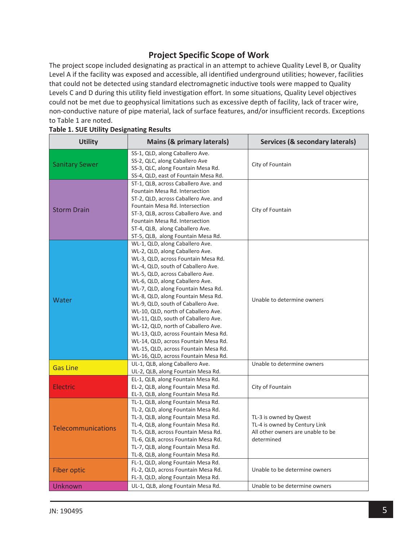# **Project Specific Scope of Work**

The project scope included designating as practical in an attempt to achieve Quality Level B, or Quality Level A if the facility was exposed and accessible, all identified underground utilities; however, facilities that could not be detected using standard electromagnetic inductive tools were mapped to Quality Levels C and D during this utility field investigation effort. In some situations, Quality Level objectives could not be met due to geophysical limitations such as excessive depth of facility, lack of tracer wire, non-conductive nature of pipe material, lack of surface features, and/or insufficient records. Exceptions to Table 1 are noted.

| <b>Utility</b>            | <b>Mains (&amp; primary laterals)</b>                                                                                                                                                                                                                                                                                                                                                                                                                                                                                                                                                                                         | Services (& secondary laterals)                                                                            |  |
|---------------------------|-------------------------------------------------------------------------------------------------------------------------------------------------------------------------------------------------------------------------------------------------------------------------------------------------------------------------------------------------------------------------------------------------------------------------------------------------------------------------------------------------------------------------------------------------------------------------------------------------------------------------------|------------------------------------------------------------------------------------------------------------|--|
| <b>Sanitary Sewer</b>     | SS-1, QLD, along Caballero Ave.<br>SS-2, QLC, along Caballero Ave<br>SS-3, QLC, along Fountain Mesa Rd.<br>SS-4, QLD, east of Fountain Mesa Rd.                                                                                                                                                                                                                                                                                                                                                                                                                                                                               | City of Fountain                                                                                           |  |
| <b>Storm Drain</b>        | ST-1, QLB, across Caballero Ave. and<br>Fountain Mesa Rd. Intersection<br>ST-2, QLD, across Caballero Ave. and<br>Fountain Mesa Rd. Intersection<br>ST-3, QLB, across Caballero Ave. and<br>Fountain Mesa Rd. Intersection<br>ST-4, QLB, along Caballero Ave.<br>ST-5, QLB, along Fountain Mesa Rd.                                                                                                                                                                                                                                                                                                                           | City of Fountain                                                                                           |  |
| Water                     | WL-1, QLD, along Caballero Ave.<br>WL-2, QLD, along Caballero Ave.<br>WL-3, QLD, across Fountain Mesa Rd.<br>WL-4, QLD, south of Caballero Ave.<br>WL-5, QLD, across Caballero Ave.<br>WL-6, QLD, along Caballero Ave.<br>WL-7, QLD, along Fountain Mesa Rd.<br>WL-8, QLD, along Fountain Mesa Rd.<br>WL-9, QLD, south of Caballero Ave.<br>WL-10, QLD, north of Caballero Ave.<br>WL-11, QLD, south of Caballero Ave.<br>WL-12, QLD, north of Caballero Ave.<br>WL-13, QLD, across Fountain Mesa Rd.<br>WL-14, QLD, across Fountain Mesa Rd.<br>WL-15, QLD, across Fountain Mesa Rd.<br>WL-16, QLD, across Fountain Mesa Rd. | Unable to determine owners                                                                                 |  |
| <b>Gas Line</b>           | UL-1, QLB, along Caballero Ave.<br>UL-2, QLB, along Fountain Mesa Rd.                                                                                                                                                                                                                                                                                                                                                                                                                                                                                                                                                         | Unable to determine owners                                                                                 |  |
| <b>Electric</b>           | EL-1, QLB, along Fountain Mesa Rd.<br>EL-2, QLB, along Fountain Mesa Rd.<br>EL-3, QLB, along Fountain Mesa Rd.                                                                                                                                                                                                                                                                                                                                                                                                                                                                                                                | City of Fountain                                                                                           |  |
| <b>Telecommunications</b> | TL-1, QLB, along Fountain Mesa Rd.<br>TL-2, QLD, along Fountain Mesa Rd.<br>TL-3, QLB, along Fountain Mesa Rd.<br>TL-4, QLB, along Fountain Mesa Rd.<br>TL-5, QLB, across Fountain Mesa Rd.<br>TL-6, QLB, across Fountain Mesa Rd.<br>TL-7, QLB, along Fountain Mesa Rd.<br>TL-8, QLB, along Fountain Mesa Rd.                                                                                                                                                                                                                                                                                                                | TL-3 is owned by Qwest<br>TL-4 is owned by Century Link<br>All other owners are unable to be<br>determined |  |
| <b>Fiber optic</b>        | FL-1, QLD, along Fountain Mesa Rd.<br>FL-2, QLD, across Fountain Mesa Rd.<br>FL-3, QLD, along Fountain Mesa Rd.                                                                                                                                                                                                                                                                                                                                                                                                                                                                                                               | Unable to be determine owners                                                                              |  |
| Unknown                   | UL-1, QLB, along Fountain Mesa Rd.                                                                                                                                                                                                                                                                                                                                                                                                                                                                                                                                                                                            | Unable to be determine owners                                                                              |  |

#### **Table 1. SUE Utility Designating Results**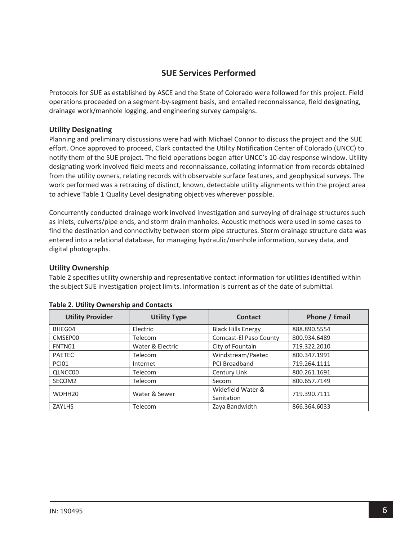## **SUE Services Performed**

Protocols for SUE as established by ASCE and the State of Colorado were followed for this project. Field operations proceeded on a segment-by-segment basis, and entailed reconnaissance, field designating, drainage work/manhole logging, and engineering survey campaigns.

#### **Utility Designating**

Planning and preliminary discussions were had with Michael Connor to discuss the project and the SUE effort. Once approved to proceed, Clark contacted the Utility Notification Center of Colorado (UNCC) to notify them of the SUE project. The field operations began after UNCC's 10-day response window. Utility designating work involved field meets and reconnaissance, collating information from records obtained from the utility owners, relating records with observable surface features, and geophysical surveys. The work performed was a retracing of distinct, known, detectable utility alignments within the project area to achieve Table 1 Quality Level designating objectives wherever possible.

Concurrently conducted drainage work involved investigation and surveying of drainage structures such as inlets, culverts/pipe ends, and storm drain manholes. Acoustic methods were used in some cases to find the destination and connectivity between storm pipe structures. Storm drainage structure data was entered into a relational database, for managing hydraulic/manhole information, survey data, and digital photographs.

#### **Utility Ownership**

Table 2 specifies utility ownership and representative contact information for utilities identified within the subject SUE investigation project limits. Information is current as of the date of submittal.

| <b>Utility Provider</b> | <b>Utility Type</b> | <b>Contact</b>            | Phone / Email |
|-------------------------|---------------------|---------------------------|---------------|
| BHEG04                  | Electric            | <b>Black Hills Energy</b> | 888.890.5554  |
| CMSEP00                 | Telecom             | Comcast-El Paso County    | 800.934.6489  |
| FNTN01                  | Water & Electric    | City of Fountain          | 719.322.2010  |
| <b>PAETEC</b>           | <b>Telecom</b>      | Windstream/Paetec         | 800.347.1991  |
| <b>PCI01</b>            | Internet            | <b>PCI Broadband</b>      | 719.264.1111  |
| QLNCC00                 | <b>Telecom</b>      | Century Link              | 800.261.1691  |
| SECOM2                  | Telecom             | Secom                     | 800.657.7149  |
| WDHH <sub>20</sub>      | Water & Sewer       | Widefield Water &         | 719.390.7111  |
|                         |                     | Sanitation                |               |
| <b>ZAYLHS</b>           | Telecom             | Zaya Bandwidth            | 866.364.6033  |

#### **Table 2. Utility Ownership and Contacts**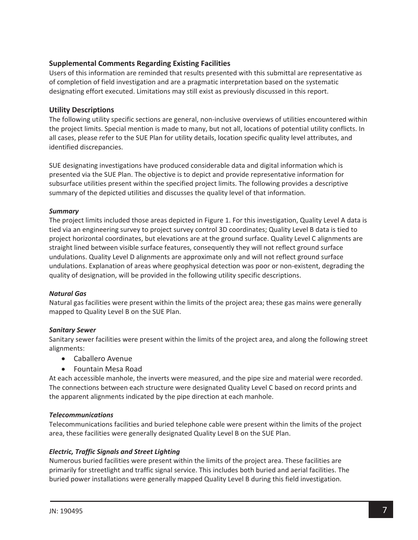### **Supplemental Comments Regarding Existing Facilities**

Users of this information are reminded that results presented with this submittal are representative as of completion of field investigation and are a pragmatic interpretation based on the systematic designating effort executed. Limitations may still exist as previously discussed in this report.

### **Utility Descriptions**

The following utility specific sections are general, non-inclusive overviews of utilities encountered within the project limits. Special mention is made to many, but not all, locations of potential utility conflicts. In all cases, please refer to the SUE Plan for utility details, location specific quality level attributes, and identified discrepancies.

SUE designating investigations have produced considerable data and digital information which is presented via the SUE Plan. The objective is to depict and provide representative information for subsurface utilities present within the specified project limits. The following provides a descriptive summary of the depicted utilities and discusses the quality level of that information.

#### *Summary*

The project limits included those areas depicted in Figure 1. For this investigation, Quality Level A data is tied via an engineering survey to project survey control 3D coordinates; Quality Level B data is tied to project horizontal coordinates, but elevations are at the ground surface. Quality Level C alignments are straight lined between visible surface features, consequently they will not reflect ground surface undulations. Quality Level D alignments are approximate only and will not reflect ground surface undulations. Explanation of areas where geophysical detection was poor or non-existent, degrading the quality of designation, will be provided in the following utility specific descriptions.

#### *Natural Gas*

Natural gas facilities were present within the limits of the project area; these gas mains were generally mapped to Quality Level B on the SUE Plan.

#### *Sanitary Sewer*

Sanitary sewer facilities were present within the limits of the project area, and along the following street alignments:

- Caballero Avenue
- Fountain Mesa Road

At each accessible manhole, the inverts were measured, and the pipe size and material were recorded. The connections between each structure were designated Quality Level C based on record prints and the apparent alignments indicated by the pipe direction at each manhole.

#### *Telecommunications*

Telecommunications facilities and buried telephone cable were present within the limits of the project area, these facilities were generally designated Quality Level B on the SUE Plan.

### *Electric, Traffic Signals and Street Lighting*

Numerous buried facilities were present within the limits of the project area. These facilities are primarily for streetlight and traffic signal service. This includes both buried and aerial facilities. The buried power installations were generally mapped Quality Level B during this field investigation.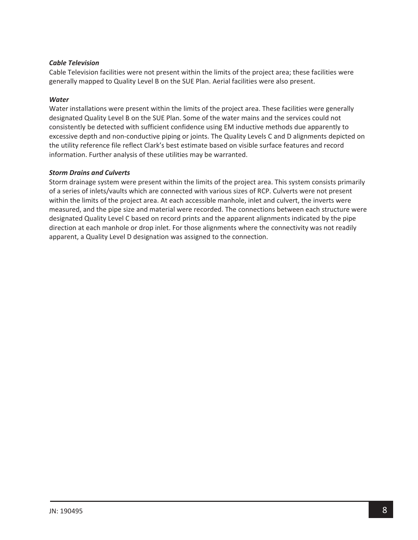#### *Cable Television*

Cable Television facilities were not present within the limits of the project area; these facilities were generally mapped to Quality Level B on the SUE Plan. Aerial facilities were also present.

#### *Water*

Water installations were present within the limits of the project area. These facilities were generally designated Quality Level B on the SUE Plan. Some of the water mains and the services could not consistently be detected with sufficient confidence using EM inductive methods due apparently to excessive depth and non-conductive piping or joints. The Quality Levels C and D alignments depicted on the utility reference file reflect Clark's best estimate based on visible surface features and record information. Further analysis of these utilities may be warranted.

#### *Storm Drains and Culverts*

Storm drainage system were present within the limits of the project area. This system consists primarily of a series of inlets/vaults which are connected with various sizes of RCP. Culverts were not present within the limits of the project area. At each accessible manhole, inlet and culvert, the inverts were measured, and the pipe size and material were recorded. The connections between each structure were designated Quality Level C based on record prints and the apparent alignments indicated by the pipe direction at each manhole or drop inlet. For those alignments where the connectivity was not readily apparent, a Quality Level D designation was assigned to the connection.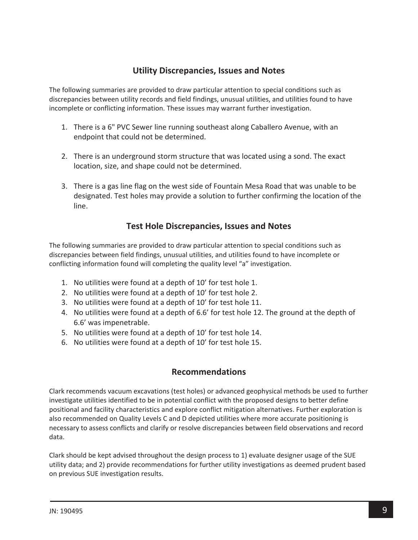## **Utility Discrepancies, Issues and Notes**

The following summaries are provided to draw particular attention to special conditions such as discrepancies between utility records and field findings, unusual utilities, and utilities found to have incomplete or conflicting information. These issues may warrant further investigation.

- 1. There is a 6" PVC Sewer line running southeast along Caballero Avenue, with an endpoint that could not be determined.
- 2. There is an underground storm structure that was located using a sond. The exact location, size, and shape could not be determined.
- 3. There is a gas line flag on the west side of Fountain Mesa Road that was unable to be designated. Test holes may provide a solution to further confirming the location of the line.

## **Test Hole Discrepancies, Issues and Notes**

The following summaries are provided to draw particular attention to special conditions such as discrepancies between field findings, unusual utilities, and utilities found to have incomplete or conflicting information found will completing the quality level "a" investigation.

- 1. No utilities were found at a depth of 10' for test hole 1.
- 2. No utilities were found at a depth of 10' for test hole 2.
- 3. No utilities were found at a depth of 10' for test hole 11.
- 4. No utilities were found at a depth of 6.6' for test hole 12. The ground at the depth of 6.6' was impenetrable.
- 5. No utilities were found at a depth of 10' for test hole 14.
- 6. No utilities were found at a depth of 10' for test hole 15.

## **Recommendations**

Clark recommends vacuum excavations (test holes) or advanced geophysical methods be used to further investigate utilities identified to be in potential conflict with the proposed designs to better define positional and facility characteristics and explore conflict mitigation alternatives. Further exploration is also recommended on Quality Levels C and D depicted utilities where more accurate positioning is necessary to assess conflicts and clarify or resolve discrepancies between field observations and record data.

Clark should be kept advised throughout the design process to 1) evaluate designer usage of the SUE utility data; and 2) provide recommendations for further utility investigations as deemed prudent based on previous SUE investigation results.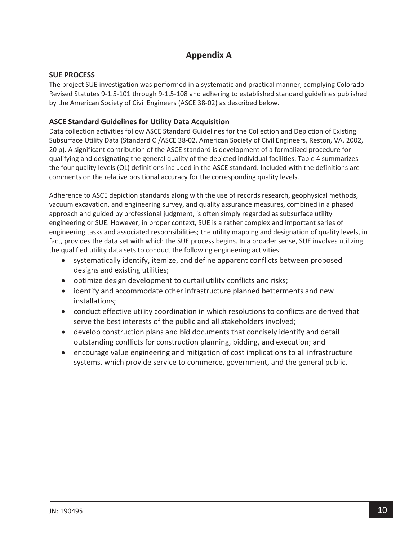# **Appendix A**

### **SUE PROCESS**

The project SUE investigation was performed in a systematic and practical manner, complying Colorado Revised Statutes 9-1.5-101 through 9-1.5-108 and adhering to established standard guidelines published by the American Society of Civil Engineers (ASCE 38-02) as described below.

### **ASCE Standard Guidelines for Utility Data Acquisition**

Data collection activities follow ASCE Standard Guidelines for the Collection and Depiction of Existing Subsurface Utility Data (Standard CI/ASCE 38-02, American Society of Civil Engineers, Reston, VA, 2002, 20 p). A significant contribution of the ASCE standard is development of a formalized procedure for qualifying and designating the general quality of the depicted individual facilities. Table 4 summarizes the four quality levels (QL) definitions included in the ASCE standard. Included with the definitions are comments on the relative positional accuracy for the corresponding quality levels.

Adherence to ASCE depiction standards along with the use of records research, geophysical methods, vacuum excavation, and engineering survey, and quality assurance measures, combined in a phased approach and guided by professional judgment, is often simply regarded as subsurface utility engineering or SUE. However, in proper context, SUE is a rather complex and important series of engineering tasks and associated responsibilities; the utility mapping and designation of quality levels, in fact, provides the data set with which the SUE process begins. In a broader sense, SUE involves utilizing the qualified utility data sets to conduct the following engineering activities:

- systematically identify, itemize, and define apparent conflicts between proposed designs and existing utilities;
- optimize design development to curtail utility conflicts and risks;
- identify and accommodate other infrastructure planned betterments and new installations;
- conduct effective utility coordination in which resolutions to conflicts are derived that serve the best interests of the public and all stakeholders involved;
- develop construction plans and bid documents that concisely identify and detail outstanding conflicts for construction planning, bidding, and execution; and
- encourage value engineering and mitigation of cost implications to all infrastructure systems, which provide service to commerce, government, and the general public.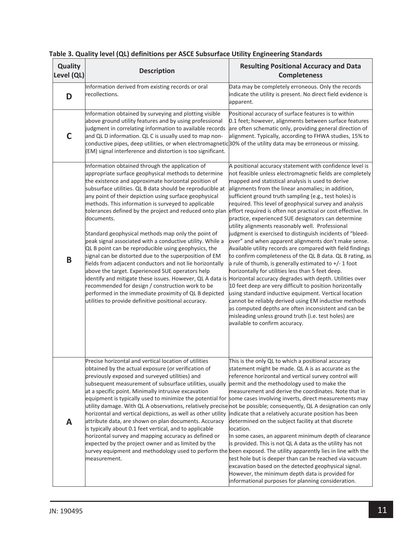| Quality<br>Level (QL) | <b>Description</b>                                                                                                                                                                                                                                                                                                                                                                                                                                                                                                                                                                                                                                                                                                                                                                                                                                                                                                                                                                                                                                                    | <b>Resulting Positional Accuracy and Data</b><br><b>Completeness</b>                                                                                                                                                                                                                                                                                                                                                                                                                                                                                                                                                                                                                                                                                                                                                                                                                                                                                                                                                                                                                                                                                                                                                             |
|-----------------------|-----------------------------------------------------------------------------------------------------------------------------------------------------------------------------------------------------------------------------------------------------------------------------------------------------------------------------------------------------------------------------------------------------------------------------------------------------------------------------------------------------------------------------------------------------------------------------------------------------------------------------------------------------------------------------------------------------------------------------------------------------------------------------------------------------------------------------------------------------------------------------------------------------------------------------------------------------------------------------------------------------------------------------------------------------------------------|----------------------------------------------------------------------------------------------------------------------------------------------------------------------------------------------------------------------------------------------------------------------------------------------------------------------------------------------------------------------------------------------------------------------------------------------------------------------------------------------------------------------------------------------------------------------------------------------------------------------------------------------------------------------------------------------------------------------------------------------------------------------------------------------------------------------------------------------------------------------------------------------------------------------------------------------------------------------------------------------------------------------------------------------------------------------------------------------------------------------------------------------------------------------------------------------------------------------------------|
| D                     | Information derived from existing records or oral<br>recollections.                                                                                                                                                                                                                                                                                                                                                                                                                                                                                                                                                                                                                                                                                                                                                                                                                                                                                                                                                                                                   | Data may be completely erroneous. Only the records<br>indicate the utility is present. No direct field evidence is<br>apparent.                                                                                                                                                                                                                                                                                                                                                                                                                                                                                                                                                                                                                                                                                                                                                                                                                                                                                                                                                                                                                                                                                                  |
| C                     | Information obtained by surveying and plotting visible<br>above ground utility features and by using professional<br>judgment in correlating information to available records<br>and QL D information. QL C is usually used to map non-<br>conductive pipes, deep utilities, or when electromagnetic 30% of the utility data may be erroneous or missing.<br>(EM) signal interference and distortion is too significant.                                                                                                                                                                                                                                                                                                                                                                                                                                                                                                                                                                                                                                              | Positional accuracy of surface features is to within<br>0.1 feet; however, alignments between surface features<br>are often schematic only, providing general direction of<br>alignment. Typically, according to FHWA studies, 15% to                                                                                                                                                                                                                                                                                                                                                                                                                                                                                                                                                                                                                                                                                                                                                                                                                                                                                                                                                                                            |
| B                     | Information obtained through the application of<br>appropriate surface geophysical methods to determine<br>the existence and approximate horizontal position of<br>subsurface utilities. QL B data should be reproducible at<br>any point of their depiction using surface geophysical<br>methods. This information is surveyed to applicable<br>tolerances defined by the project and reduced onto plan<br>documents.<br>Standard geophysical methods map only the point of<br>peak signal associated with a conductive utility. While a<br>QL B point can be reproducible using geophysics, the<br>signal can be distorted due to the superposition of EM<br>fields from adjacent conductors and not lie horizontally<br>above the target. Experienced SUE operators help<br>identify and mitigate these issues. However, QL A data is Horizontal accuracy degrades with depth. Utilities over<br>recommended for design / construction work to be<br>performed in the immediate proximity of QL B depicted<br>utilities to provide definitive positional accuracy. | A positional accuracy statement with confidence level is<br>not feasible unless electromagnetic fields are completely<br>mapped and statistical analysis is used to derive<br>alignments from the linear anomalies; in addition,<br>sufficient ground truth sampling (e.g., test holes) is<br>required. This level of geophysical survey and analysis<br>effort required is often not practical or cost effective. In<br>practice, experienced SUE designators can determine<br>utility alignments reasonably well. Professional<br>judgment is exercised to distinguish incidents of "bleed-<br>over" and when apparent alignments don't make sense.<br>Available utility records are compared with field findings<br>to confirm completeness of the QL B data. QL B rating, as<br>a rule of thumb, is generally estimated to $+/- 1$ foot<br>horizontally for utilities less than 5 feet deep.<br>10 feet deep are very difficult to position horizontally<br>using standard inductive equipment. Vertical location<br>cannot be reliably derived using EM inductive methods<br>as computed depths are often inconsistent and can be<br>misleading unless ground truth (i.e. test holes) are<br>available to confirm accuracy. |
| A                     | Precise horizontal and vertical location of utilities<br>obtained by the actual exposure (or verification of<br>previously exposed and surveyed utilities) and<br>subsequent measurement of subsurface utilities, usually<br>at a specific point. Minimally intrusive excavation<br>equipment is typically used to minimize the potential for some cases involving inverts, direct measurements may<br>horizontal and vertical depictions, as well as other utility<br>attribute data, are shown on plan documents. Accuracy<br>is typically about 0.1 feet vertical, and to applicable<br>horizontal survey and mapping accuracy as defined or<br>expected by the project owner and as limited by the<br>survey equipment and methodology used to perform the been exposed. The utility apparently lies in line with the<br>measurement.                                                                                                                                                                                                                             | This is the only QL to which a positional accuracy<br>statement might be made. QL A is as accurate as the<br>reference horizontal and vertical survey control will<br>permit and the methodology used to make the<br>measurement and derive the coordinates. Note that in<br>utility damage. With QL A observations, relatively precise not be possible; consequently, QL A designation can only<br>indicate that a relatively accurate position has been<br>determined on the subject facility at that discrete<br>location.<br>In some cases, an apparent minimum depth of clearance<br>is provided. This is not QL A data as the utility has not<br>test hole but is deeper than can be reached via vacuum<br>excavation based on the detected geophysical signal.<br>However, the minimum depth data is provided for<br>informational purposes for planning consideration.                                                                                                                                                                                                                                                                                                                                                   |